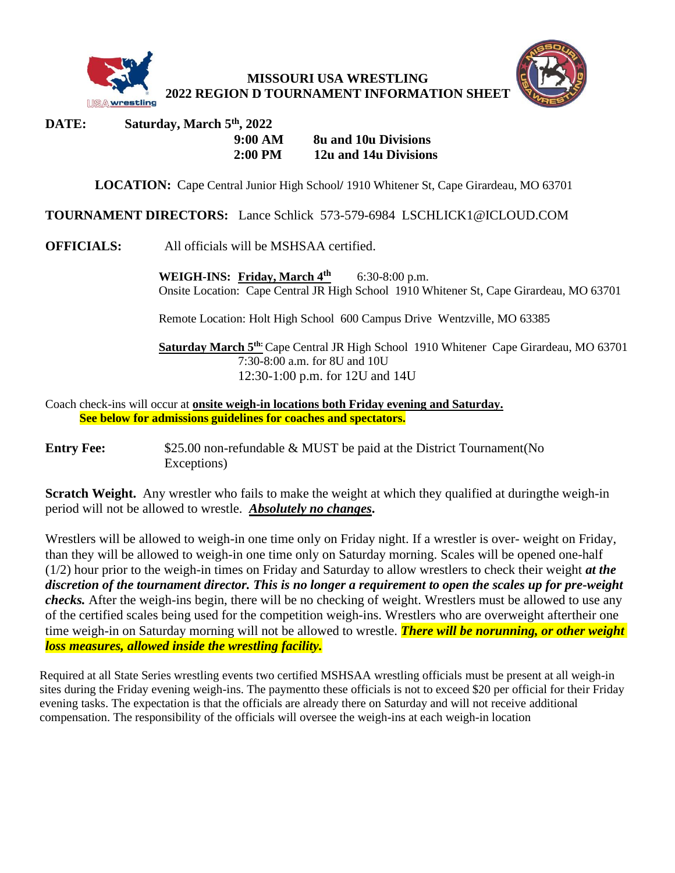

**MISSOURI USA WRESTLING 2022 REGION D TOURNAMENT INFORMATION SHEET**



## **DATE: Saturday, March 5 th , 2022 9:00 AM 8u and 10u Divisions 2:00 PM 12u and 14u Divisions**

**LOCATION:** Cape Central Junior High School**/** 1910 Whitener St, Cape Girardeau, MO 63701

**TOURNAMENT DIRECTORS:** Lance Schlick 573-579-6984 LSCHLICK1@ICLOUD.COM

**OFFICIALS:** All officials will be MSHSAA certified.

**WEIGH-INS: Friday, March 4 th** 6:30-8:00 p.m. Onsite Location: Cape Central JR High School 1910 Whitener St, Cape Girardeau, MO 63701

Remote Location: Holt High School 600 Campus Drive Wentzville, MO 63385

**Saturday March 5th:**Cape Central JR High School 1910 Whitener Cape Girardeau, MO 63701 7:30-8:00 a.m. for 8U and 10U 12:30-1:00 p.m. for 12U and 14U

Coach check-ins will occur at **onsite weigh-in locations both Friday evening and Saturday. See below for admissions guidelines for coaches and spectators.**

**Entry Fee:** \$25.00 non-refundable & MUST be paid at the District Tournament (No Exceptions)

**Scratch Weight.** Any wrestler who fails to make the weight at which they qualified at duringthe weigh-in period will not be allowed to wrestle. *Absolutely no changes***.**

Wrestlers will be allowed to weigh-in one time only on Friday night. If a wrestler is over- weight on Friday, than they will be allowed to weigh-in one time only on Saturday morning. Scales will be opened one-half (1/2) hour prior to the weigh-in times on Friday and Saturday to allow wrestlers to check their weight *at the discretion of the tournament director. This is no longer a requirement to open the scales up for pre-weight checks.* After the weigh-ins begin, there will be no checking of weight. Wrestlers must be allowed to use any of the certified scales being used for the competition weigh-ins. Wrestlers who are overweight aftertheir one time weigh-in on Saturday morning will not be allowed to wrestle. *There will be norunning, or other weight loss measures, allowed inside the wrestling facility.*

Required at all State Series wrestling events two certified MSHSAA wrestling officials must be present at all weigh-in sites during the Friday evening weigh-ins. The paymentto these officials is not to exceed \$20 per official for their Friday evening tasks. The expectation is that the officials are already there on Saturday and will not receive additional compensation. The responsibility of the officials will oversee the weigh-ins at each weigh-in location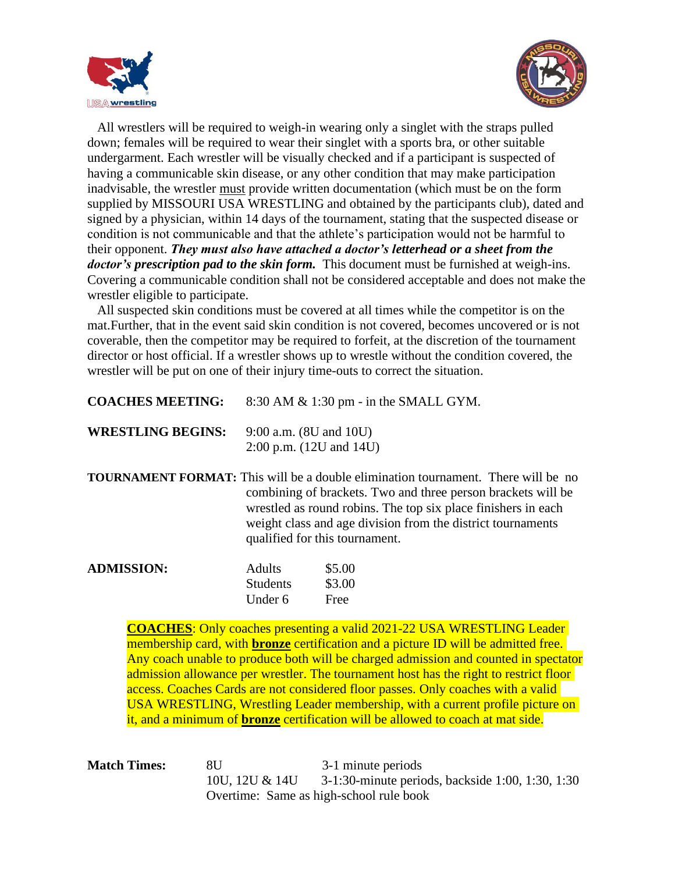



 All wrestlers will be required to weigh-in wearing only a singlet with the straps pulled down; females will be required to wear their singlet with a sports bra, or other suitable undergarment. Each wrestler will be visually checked and if a participant is suspected of having a communicable skin disease, or any other condition that may make participation inadvisable, the wrestler must provide written documentation (which must be on the form supplied by MISSOURI USA WRESTLING and obtained by the participants club), dated and signed by a physician, within 14 days of the tournament, stating that the suspected disease or condition is not communicable and that the athlete's participation would not be harmful to their opponent. *They must also have attached a doctor's letterhead or a sheet from the doctor's prescription pad to the skin form.* This document must be furnished at weigh-ins. Covering a communicable condition shall not be considered acceptable and does not make the wrestler eligible to participate.

 All suspected skin conditions must be covered at all times while the competitor is on the mat.Further, that in the event said skin condition is not covered, becomes uncovered or is not coverable, then the competitor may be required to forfeit, at the discretion of the tournament director or host official. If a wrestler shows up to wrestle without the condition covered, the wrestler will be put on one of their injury time-outs to correct the situation.

| <b>COACHES MEETING:</b>  |                                                               | $8:30$ AM $\&$ 1:30 pm - in the SMALL GYM. |
|--------------------------|---------------------------------------------------------------|--------------------------------------------|
| <b>WRESTLING BEGINS:</b> | $9:00$ a.m. $(8U$ and $10U)$<br>$2:00$ p.m. $(12U$ and $14U)$ |                                            |
|                          |                                                               |                                            |
| <b>ADMISSION:</b>        | <b>Adults</b>                                                 | \$5.00                                     |
|                          | <b>Students</b>                                               | \$3.00                                     |
|                          | Under 6                                                       | Free                                       |

**COACHES**: Only coaches presenting a valid 2021-22 USA WRESTLING Leader membership card, with **bronze** certification and a picture ID will be admitted free. Any coach unable to produce both will be charged admission and counted in spectator admission allowance per wrestler. The tournament host has the right to restrict floor access. Coaches Cards are not considered floor passes. Only coaches with a valid USA WRESTLING, Wrestling Leader membership, with a current profile picture on it, and a minimum of **bronze** certification will be allowed to coach at mat side.

**Match Times:** 8U 3-1 minute periods 10U, 12U & 14U 3-1:30-minute periods, backside 1:00, 1:30, 1:30 Overtime: Same as high-school rule book